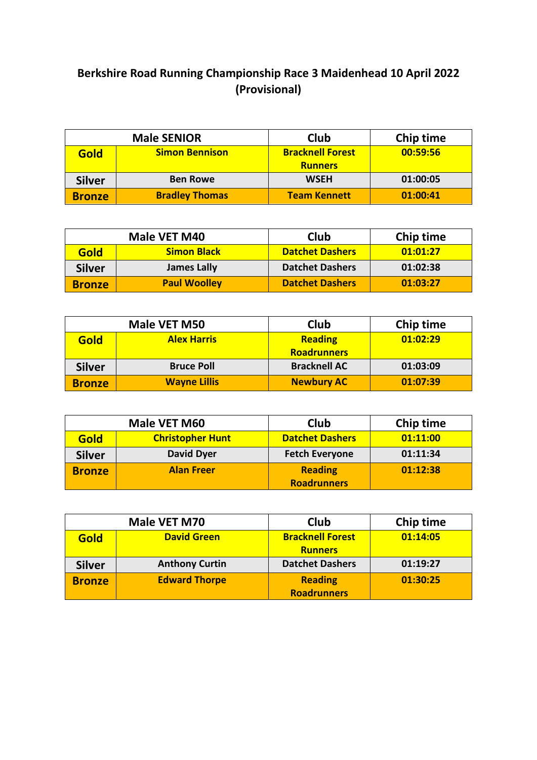## **Berkshire Road Running Championship Race 3 Maidenhead 10 April 2022 (Provisional)**

|               | <b>Male SENIOR</b>    | <b>Club</b>             | <b>Chip time</b> |
|---------------|-----------------------|-------------------------|------------------|
| Gold          | <b>Simon Bennison</b> | <b>Bracknell Forest</b> | 00:59:56         |
|               |                       | <b>Runners</b>          |                  |
| <b>Silver</b> | <b>Ben Rowe</b>       | <b>WSEH</b>             | 01:00:05         |
| <b>Bronze</b> | <b>Bradley Thomas</b> | <b>Team Kennett</b>     | 01:00:41         |

| Male VET M40  |                     | Club                   | Chip time |
|---------------|---------------------|------------------------|-----------|
| Gold          | <b>Simon Black</b>  | <b>Datchet Dashers</b> | 01:01:27  |
| <b>Silver</b> | <b>James Lally</b>  | <b>Datchet Dashers</b> | 01:02:38  |
| <b>Bronze</b> | <b>Paul Woolley</b> | <b>Datchet Dashers</b> | 01:03:27  |

|               | Male VET M50        | <b>Club</b>         | Chip time |
|---------------|---------------------|---------------------|-----------|
| <b>Gold</b>   | <b>Alex Harris</b>  | <b>Reading</b>      | 01:02:29  |
|               |                     | <b>Roadrunners</b>  |           |
| <b>Silver</b> | <b>Bruce Poll</b>   | <b>Bracknell AC</b> | 01:03:09  |
| <b>Bronze</b> | <b>Wayne Lillis</b> | <b>Newbury AC</b>   | 01:07:39  |

| Male VET M60  |                         | <b>Club</b>            | Chip time |
|---------------|-------------------------|------------------------|-----------|
| Gold          | <b>Christopher Hunt</b> | <b>Datchet Dashers</b> | 01:11:00  |
| <b>Silver</b> | <b>David Dyer</b>       | <b>Fetch Everyone</b>  | 01:11:34  |
| <b>Bronze</b> | <b>Alan Freer</b>       | <b>Reading</b>         | 01:12:38  |
|               |                         | <b>Roadrunners</b>     |           |

|               | Male VET M70          | Club                    | Chip time |
|---------------|-----------------------|-------------------------|-----------|
| Gold          | <b>David Green</b>    | <b>Bracknell Forest</b> | 01:14:05  |
|               |                       | <b>Runners</b>          |           |
| <b>Silver</b> | <b>Anthony Curtin</b> | <b>Datchet Dashers</b>  | 01:19:27  |
| <b>Bronze</b> | <b>Edward Thorpe</b>  | <b>Reading</b>          | 01:30:25  |
|               |                       | <b>Roadrunners</b>      |           |